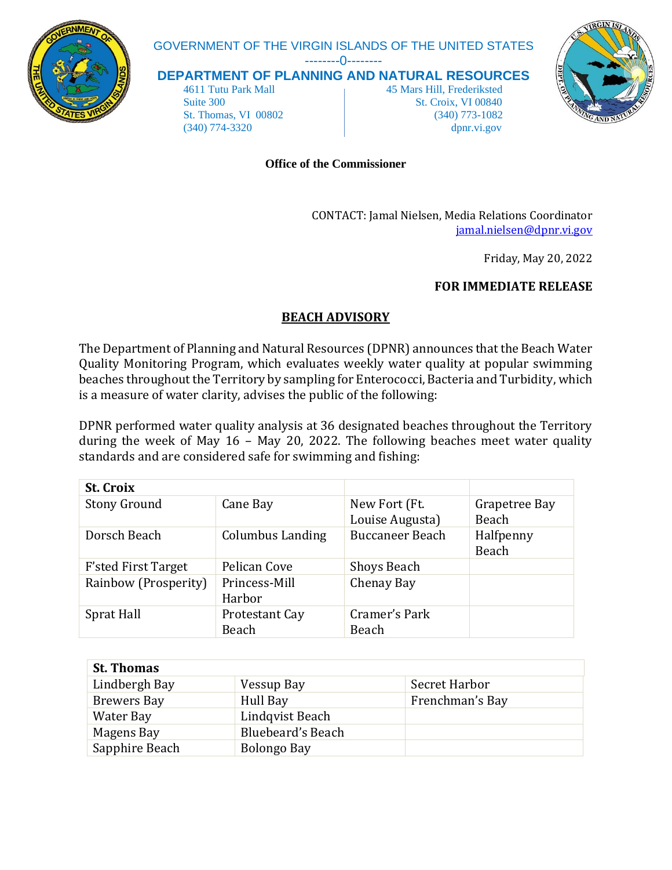

## GOVERNMENT OF THE VIRGIN ISLANDS OF THE UNITED STATES

--------0--------

**DEPARTMENT OF PLANNING AND NATURAL RESOURCES**

 4611 Tutu Park Mall 45 Mars Hill, Frederiksted Suite 300 St. Croix, VI 00840 St. Thomas, VI 00802 (340) 773-1082 (340) 774-3320 dpnr.vi.gov



## **Office of the Commissioner**

CONTACT: Jamal Nielsen, Media Relations Coordinator [jamal.nielsen@dpnr.vi.gov](mailto:jamal.nielsen@dpnr.vi.gov)

Friday, May 20, 2022

## **FOR IMMEDIATE RELEASE**

## **BEACH ADVISORY**

The Department of Planning and Natural Resources (DPNR) announces that the Beach Water Quality Monitoring Program, which evaluates weekly water quality at popular swimming beaches throughout the Territory by sampling for Enterococci, Bacteria and Turbidity, which is a measure of water clarity, advises the public of the following:

DPNR performed water quality analysis at 36 designated beaches throughout the Territory during the week of May 16 – May 20, 2022. The following beaches meet water quality standards and are considered safe for swimming and fishing:

| <b>St. Croix</b>           |                         |                        |               |
|----------------------------|-------------------------|------------------------|---------------|
| <b>Stony Ground</b>        | Cane Bay                | New Fort (Ft.          | Grapetree Bay |
|                            |                         | Louise Augusta)        | Beach         |
| Dorsch Beach               | <b>Columbus Landing</b> | <b>Buccaneer Beach</b> | Halfpenny     |
|                            |                         |                        | Beach         |
| <b>F'sted First Target</b> | Pelican Cove            | <b>Shoys Beach</b>     |               |
| Rainbow (Prosperity)       | Princess-Mill           | Chenay Bay             |               |
|                            | Harbor                  |                        |               |
| Sprat Hall                 | <b>Protestant Cay</b>   | Cramer's Park          |               |
|                            | Beach                   | Beach                  |               |

| <b>St. Thomas</b>  |                   |                 |
|--------------------|-------------------|-----------------|
| Lindbergh Bay      | Vessup Bay        | Secret Harbor   |
| <b>Brewers Bay</b> | Hull Bay          | Frenchman's Bay |
| Water Bay          | Lindqvist Beach   |                 |
| Magens Bay         | Bluebeard's Beach |                 |
| Sapphire Beach     | Bolongo Bay       |                 |